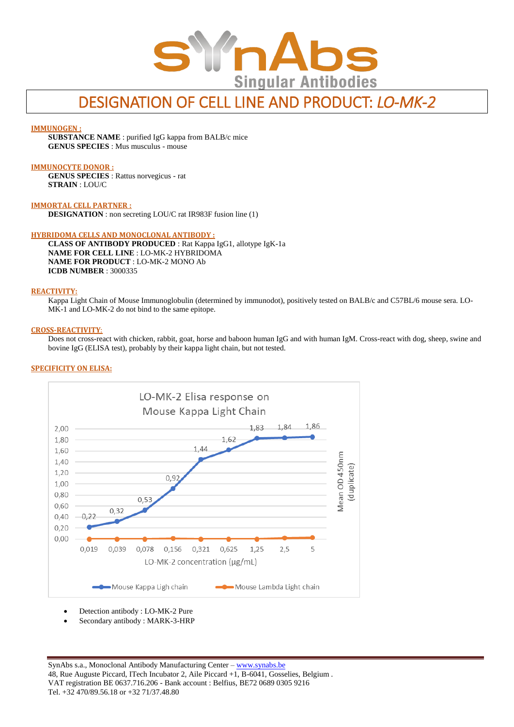

# DESIGNATION OF CELL LINE AND PRODUCT: *LO-MK-2*

## **IMMUNOGEN :**

**SUBSTANCE NAME** : purified IgG kappa from BALB/c mice **GENUS SPECIES** : Mus musculus - mouse

## **IMMUNOCYTE DONOR :**

**GENUS SPECIES** : Rattus norvegicus - rat **STRAIN** : LOU/C

#### **IMMORTAL CELL PARTNER :**

**DESIGNATION** : non secreting LOU/C rat IR983F fusion line (1)

#### **HYBRIDOMA CELLS AND MONOCLONAL ANTIBODY :**

**CLASS OF ANTIBODY PRODUCED** : Rat Kappa IgG1, allotype IgK-1a **NAME FOR CELL LINE** : LO-MK-2 HYBRIDOMA **NAME FOR PRODUCT** : LO-MK-2 MONO Ab **ICDB NUMBER** : 3000335

## **REACTIVITY:**

Kappa Light Chain of Mouse Immunoglobulin (determined by immunodot), positively tested on BALB/c and C57BL/6 mouse sera. LO-MK-1 and LO-MK-2 do not bind to the same epitope.

#### **CROSS-REACTIVITY**:

Does not cross-react with chicken, rabbit, goat, horse and baboon human IgG and with human IgM. Cross-react with dog, sheep, swine and bovine IgG (ELISA test), probably by their kappa light chain, but not tested.

#### **SPECIFICITY ON ELISA:**



Detection antibody : LO-MK-2 Pure

Secondary antibody : MARK-3-HRP

SynAbs s.a., Monoclonal Antibody Manufacturing Center - [www.synabs.be](http://www.synabs.be/) 48, Rue Auguste Piccard, ITech Incubator 2, Aile Piccard +1, B-6041, Gosselies, Belgium . VAT registration BE 0637.716.206 - Bank account : Belfius, BE72 0689 0305 9216 Tel. +32 470/89.56.18 or +32 71/37.48.80